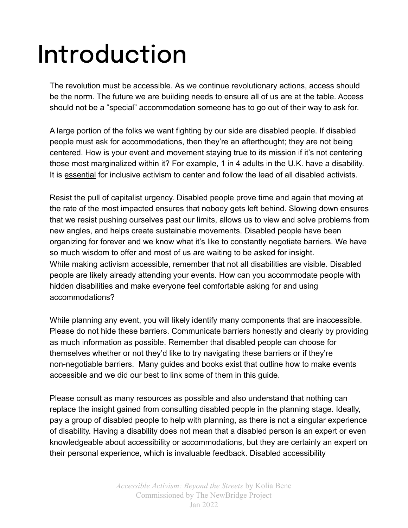## Introduction

The revolution must be accessible. As we continue revolutionary actions, access should be the norm. The future we are building needs to ensure all of us are at the table. Access should not be a "special" accommodation someone has to go out of their way to ask for.

A large portion of the folks we want fighting by our side are disabled people. If disabled people must ask for accommodations, then they're an afterthought; they are not being centered. How is your event and movement staying true to its mission if it's not centering those most marginalized within it? For example, 1 in 4 adults in the U.K. have a disability. It is essential for inclusive activism to center and follow the lead of all disabled activists.

Resist the pull of capitalist urgency. Disabled people prove time and again that moving at the rate of the most impacted ensures that nobody gets left behind. Slowing down ensures that we resist pushing ourselves past our limits, allows us to view and solve problems from new angles, and helps create sustainable movements. Disabled people have been organizing for forever and we know what it's like to constantly negotiate barriers. We have so much wisdom to offer and most of us are waiting to be asked for insight. While making activism accessible, remember that not all disabilities are visible. Disabled people are likely already attending your events. How can you accommodate people with hidden disabilities and make everyone feel comfortable asking for and using accommodations?

While planning any event, you will likely identify many components that are inaccessible. Please do not hide these barriers. Communicate barriers honestly and clearly by providing as much information as possible. Remember that disabled people can choose for themselves whether or not they'd like to try navigating these barriers or if they're non-negotiable barriers. Many guides and books exist that outline how to make events accessible and we did our best to link some of them in this guide.

Please consult as many resources as possible and also understand that nothing can replace the insight gained from consulting disabled people in the planning stage. Ideally, pay a group of disabled people to help with planning, as there is not a singular experience of disability. Having a disability does not mean that a disabled person is an expert or even knowledgeable about accessibility or accommodations, but they are certainly an expert on their personal experience, which is invaluable feedback. Disabled accessibility